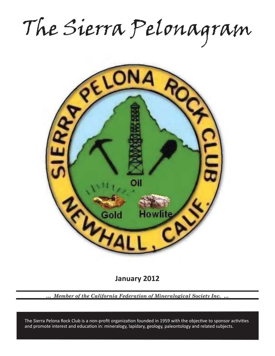The Sierra Pelonagram



**January 2012**

*… Member of the California Federation of Mineralogical Society Inc. …*

and promote interest and education in: mineralogy, lapidary, geology, paleontology and related subjects. The Sierra Pelona Rock Club is a non-profit organization founded in 1959 with the objective to sponsor activities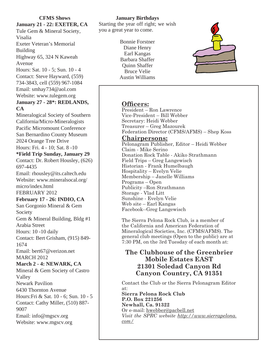**January 21 - 22: EXETER, CA** Tule Gem & Mineral Society, Visalia Exeter Veteran's Memorial Building Highway 65, 324 N Kaweah Avenue Hours: Sat. 10 - 5; Sun. 10 - 4 Contact: Steve Hayward, (559) 734-3843, cell (559) 967-1084 Email: smhay734@aol.com Website: www.tulegem.org **January 27 - 28\*: REDLANDS, CA** Mineralogical Society of Southern California/Micro-Mineralogists Pacific Micromount Conference San Bernardino County Museum 2024 Orange Tree Drive Hours: Fri. 4 - 10; Sat. 8 -10 **\*Field Trip Sunday, January 29** Contact: Dr. Robert Housley, (626) 697-4435 Email: rhousley@its.caltech.edu Website: www.mineralsocal.org/ micro/index.html FEBRUARY 2012 **February 17 - 26: INDIO, CA** San Gorgonio Mineral & Gem Society Gem & Mineral Building, Bldg #1 Arabia Street Hours: 10 -10 daily Contact: Bert Grisham, (915) 849- 1674 Email: bert67@verizon.net MARCH 2012 **March 2 - 4: NEWARK, CA** Mineral & Gem Society of Castro Valley Newark Pavilion 6430 Thornton Avenue Hours:Fri & Sat. 10 - 6; Sun. 10 - 5 Contact: Cathy Miller, (510) 887- 9007 Email: info@mgscv.org

**CFMS Shows**

Website: www.mgscv.org

### **January Birthdays**

Starting the year off right; we wish you a great year to come.

> Bonnie Forstner Diane Henry Earl Kangas Barbara Shaffer Quinn Shaffer Bruce Velie Austin Williams



## **Officers:**

President – Ron Lawrence Vice-President – Bill Webber Secretary: Heidi Webber Treasurer – Greg Mazourek Federation Director (CFMS/AFMS) – Shep Koss

## **Chairpersons:**

Pelonagram Publisher, Editor – Heidi Webber Claim - Mike Serino Donation Rock Table - Akiko Strathmann Field Trips – Greg Langewisch Historian - Frank Humelbaugh Hospitality – Evelyn Velie Membership – Janelle Williams Programs – Open Publicity –Ron Strathmann Storage - Vlad Litt Sunshine - Evelyn Velie Web site – Earl Kangas Facebook--Greg Langewisch

The Sierra Pelona Rock Club, is a member of the California and American Federation of Mineralogical Societies, Inc. (CFMS/AFMS). The general club meetings (Open to the public) are at 7:30 PM, on the 3rd Tuesday of each month at:

# **The Clubhouse of the Greenbrier Mobile Estates EAST 21301 Soledad Canyon Rd Canyon Country, CA 91351**

Contact the Club or the Sierra Pelonagram Editor at:

**Sierra Pelona Rock Club P.O. Box 221256 Newhall, Ca. 91322** Or e-mail: hwebber@pacbell.net *Visit the SPRC website http://www.sierrapelona. com/*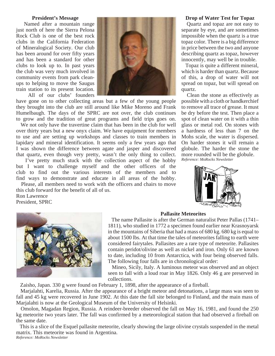#### **President's Message**

 Named after a mountain range just north of here the Sierra Pelona Rock Club is one of the best rock clubs in the California Federation of Mineralogical Society. Our club has been around for over fifty years and has been a standard for other clubs to look up to. In past years the club was very much involved in community events from park cleanups to helping to move the Saugus train station to its present location.

All of our clubs' founders

have gone on to other collecting areas but a few of the young people they brought into the club are still around like Mike Moreno and Frank Humelbaugh. The days of the SPRC are not over, the club continues to grow and the tradition of great programs and field trips goes on.

 We not only have the travertine claim that has been in the club for well over thirty years but a new onyx claim. We have equipment for members to use and are setting up workshops and classes to train members in lapidary and mineral identification. It seems only a few years ago that I was shown the difference between agate and jasper and discovered that quartz, even though very pretty, wasn't the only thing to collect.

 I've pretty much stuck with the collection aspect of the hobby but I want to challenge myself and the other officers of the club to find out the various interests of the members and to find ways to demonstrate and educate in all areas of the hobby. Please, all members need to work with the officers and chairs to move

this club forward for the benefit of all of us. Ron Lawrence President, SPRC



#### **Drop of Water Test for Topaz**

Quartz and topaz are not easy to separate by eye, and are sometimes impossible when the quartz is a true topaz color. There is a big difference in price between the two and anyone describing quartz as topaz, however innocently, may well be in trouble.

 Topaz is quite a different mineral, which is harder than quartz. Because of this, a drop of water will not spread on topaz, but will spread on quartz.

 Clean the stone as effectively as possible with a cloth or handkerchief to remove all trace of grease. It must be dry before the test. Then place a spot of clean water on it with a thin glass or metal rod. On stones with a hardness of less than 7 on the Mohs scale, the water is dispersed. On harder stones it will remain a globule. The harder the stone the more rounded will be the globule. *Reference: MoRocks Newsletter*





#### **Pallasite Meteorites**

 The name Pallasite is after the German naturalist Peter Pallas (1741– 1811), who studied in 1772 a specimen found earlier near Krasnoyarsk in the mountains of Siberia that had a mass of 680 kg. 680 kg is equal to about 1500 lbs. At that time the tales of meteorites falling to earth were considered fairytales. Pallasites are a rare type of meteorite. Pallasites contain peridot/olivine as well as nickel and iron. Only 61 are known to date, including 10 from Antarctica, with four being observed falls. The following four falls are in chronological order:

 Mineo, Sicily, Italy. A luminous meteor was observed and an object seen to fall with a loud roar in May 1826. Only 46 g are preserved in collections.

Zaisho, Japan. 330 g were found on February 1, 1898, after the appearance of a fireball.

 Marjalahti, Karelia, Russia. After the appearance of a bright meteor and detonations, a large mass was seen to fall and 45 kg were recovered in June 1902. At this date the fall site belonged to Finland, and the main mass of Marjalahti is now at the Geological Museum of the University of Helsinki.

 Omolon, Magadan Region, Russia. A reindeer-breeder observed the fall on May 16, 1981, and found the 250 kg meteorite two years later. The fall was confirmed by a meteorological station that had observed a fireball on the same date.

 This is a slice of the Esquel pallasite meteorite, clearly showing the large olivine crystals suspended in the metal matrix. This meteorite was found in Argentina. *Reference: MoRocks Newsletter*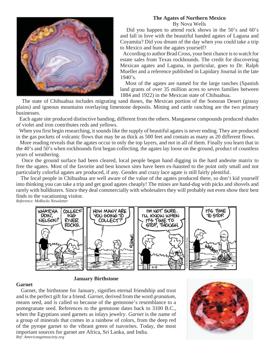# **The Agates of Northern Mexico**

By Nova Wells



 Did you happen to attend rock shows in the 50's and 60's and fall in love with the beautiful banded agates of Laguna and Coyamita? Did you dream of the day when you could take a trip to Mexico and hunt the agates yourself?

 According to author Brad Cross, your best chance is to watch for estate sales from Texas rockhounds. The credit for discovering Mexican agates and Laguna, in particular, goes to Dr. Ralph Mueller and a reference published in Lapidary Journal in the late  $1940's.$ 

 Most of the agates are named for the large ranches (Spanish land grants of over 35 million acres to seven families between 1884 and 1922) in the Mexican state of Chihuahua.

 The state of Chihuahua includes migrating sand dunes, the Mexican portion of the Sonoran Desert (grassy plains) and igneous mountains overlaying limestone deposits. Mining and cattle ranching are the two primary businesses.

 Each agate site produced distinctive banding, different from the others. Manganese compounds produced shades of violet and iron contributes reds and yellows.

 When you first begin researching, it sounds like the supply of beautiful agates is never ending. They are produced in the gas pockets of volcanic flows that may be as thick as 500 feet and contain as many as 20 different flows.

 More reading reveals that the agates occur in only the top layers, and not in all of them. Finally you learn that in the 40's and 50's when rockhounds first began collecting, the agates lay loose on the ground, product of countless years of weathering.

 Once the ground surface had been cleared, local people began hand digging in the hard andesite matrix to free the agates. Most of the favorite and best known sites have been ex-hausted to the point only small and not particularly colorful agates are produced, if any. Geodes and crazy lace agate is still fairly plentiful.

 The local people in Chihuahua are well aware of the value of the agates produced there, so don't kid yourself into thinking you can take a trip and get good agates cheaply! The mines are hand-dug with picks and shovels and rarely with bulldozers. Since they deal commercially with wholesalers they will probably not even show their best finds to the vacationing visitor.

*Reference: MoRocks Newsletter*



### **January Birthstone**

**Garnet**

 Garnet, the birthstone for January, signifies eternal friendship and trust and is the perfect gift for a friend. *Garnet*, derived from the word *granatum,* means seed, and is called so because of the gemstone's resemblance to a pomegranate seed. References to the gemstone dates back to 3100 B.C., when the Egyptians used garnets as inlays jewelry. *Garnet* is the name of a group of minerals that comes in a rainbow of colors, from the deep red of the pyrope garnet to the vibrant green of tsavorites. Today, the most important sources for garnet are Africa, Sri Lanka, and India. *Ref: Americangemsociety.org*